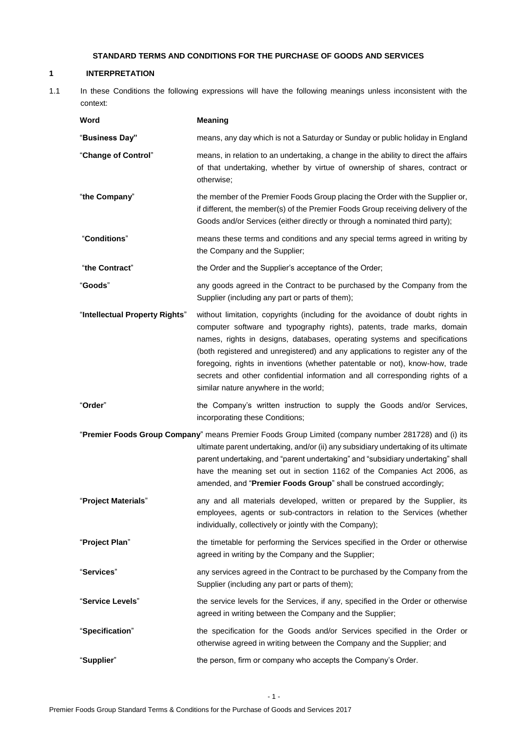# **STANDARD TERMS AND CONDITIONS FOR THE PURCHASE OF GOODS AND SERVICES**

# **1 INTERPRETATION**

1.1 In these Conditions the following expressions will have the following meanings unless inconsistent with the context:

| Word                           | <b>Meaning</b>                                                                                                                                                                                                                                                                                                                                                                                                                                                                                                                   |
|--------------------------------|----------------------------------------------------------------------------------------------------------------------------------------------------------------------------------------------------------------------------------------------------------------------------------------------------------------------------------------------------------------------------------------------------------------------------------------------------------------------------------------------------------------------------------|
| "Business Day"                 | means, any day which is not a Saturday or Sunday or public holiday in England                                                                                                                                                                                                                                                                                                                                                                                                                                                    |
| "Change of Control"            | means, in relation to an undertaking, a change in the ability to direct the affairs<br>of that undertaking, whether by virtue of ownership of shares, contract or<br>otherwise;                                                                                                                                                                                                                                                                                                                                                  |
| "the Company"                  | the member of the Premier Foods Group placing the Order with the Supplier or,<br>if different, the member(s) of the Premier Foods Group receiving delivery of the<br>Goods and/or Services (either directly or through a nominated third party);                                                                                                                                                                                                                                                                                 |
| "Conditions"                   | means these terms and conditions and any special terms agreed in writing by<br>the Company and the Supplier;                                                                                                                                                                                                                                                                                                                                                                                                                     |
| "the Contract"                 | the Order and the Supplier's acceptance of the Order;                                                                                                                                                                                                                                                                                                                                                                                                                                                                            |
| "Goods"                        | any goods agreed in the Contract to be purchased by the Company from the<br>Supplier (including any part or parts of them);                                                                                                                                                                                                                                                                                                                                                                                                      |
| "Intellectual Property Rights" | without limitation, copyrights (including for the avoidance of doubt rights in<br>computer software and typography rights), patents, trade marks, domain<br>names, rights in designs, databases, operating systems and specifications<br>(both registered and unregistered) and any applications to register any of the<br>foregoing, rights in inventions (whether patentable or not), know-how, trade<br>secrets and other confidential information and all corresponding rights of a<br>similar nature anywhere in the world; |
| "Order"                        | the Company's written instruction to supply the Goods and/or Services,<br>incorporating these Conditions;                                                                                                                                                                                                                                                                                                                                                                                                                        |
|                                | "Premier Foods Group Company" means Premier Foods Group Limited (company number 281728) and (i) its<br>ultimate parent undertaking, and/or (ii) any subsidiary undertaking of its ultimate<br>parent undertaking, and "parent undertaking" and "subsidiary undertaking" shall<br>have the meaning set out in section 1162 of the Companies Act 2006, as<br>amended, and "Premier Foods Group" shall be construed accordingly;                                                                                                    |
| "Project Materials"            | any and all materials developed, written or prepared by the Supplier, its<br>employees, agents or sub-contractors in relation to the Services (whether<br>individually, collectively or jointly with the Company);                                                                                                                                                                                                                                                                                                               |
| "Project Plan"                 | the timetable for performing the Services specified in the Order or otherwise<br>agreed in writing by the Company and the Supplier;                                                                                                                                                                                                                                                                                                                                                                                              |
| "Services"                     | any services agreed in the Contract to be purchased by the Company from the<br>Supplier (including any part or parts of them);                                                                                                                                                                                                                                                                                                                                                                                                   |
| "Service Levels"               | the service levels for the Services, if any, specified in the Order or otherwise<br>agreed in writing between the Company and the Supplier;                                                                                                                                                                                                                                                                                                                                                                                      |
| "Specification"                | the specification for the Goods and/or Services specified in the Order or<br>otherwise agreed in writing between the Company and the Supplier; and                                                                                                                                                                                                                                                                                                                                                                               |
| "Supplier"                     | the person, firm or company who accepts the Company's Order.                                                                                                                                                                                                                                                                                                                                                                                                                                                                     |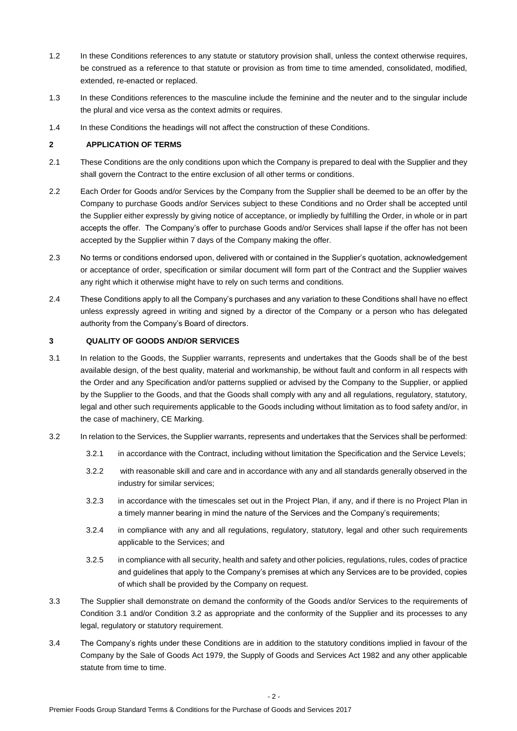- 1.2 In these Conditions references to any statute or statutory provision shall, unless the context otherwise requires, be construed as a reference to that statute or provision as from time to time amended, consolidated, modified, extended, re-enacted or replaced.
- 1.3 In these Conditions references to the masculine include the feminine and the neuter and to the singular include the plural and vice versa as the context admits or requires.
- 1.4 In these Conditions the headings will not affect the construction of these Conditions.

# **2 APPLICATION OF TERMS**

- 2.1 These Conditions are the only conditions upon which the Company is prepared to deal with the Supplier and they shall govern the Contract to the entire exclusion of all other terms or conditions.
- 2.2 Each Order for Goods and/or Services by the Company from the Supplier shall be deemed to be an offer by the Company to purchase Goods and/or Services subject to these Conditions and no Order shall be accepted until the Supplier either expressly by giving notice of acceptance, or impliedly by fulfilling the Order, in whole or in part accepts the offer. The Company's offer to purchase Goods and/or Services shall lapse if the offer has not been accepted by the Supplier within 7 days of the Company making the offer.
- 2.3 No terms or conditions endorsed upon, delivered with or contained in the Supplier's quotation, acknowledgement or acceptance of order, specification or similar document will form part of the Contract and the Supplier waives any right which it otherwise might have to rely on such terms and conditions.
- 2.4 These Conditions apply to all the Company's purchases and any variation to these Conditions shall have no effect unless expressly agreed in writing and signed by a director of the Company or a person who has delegated authority from the Company's Board of directors.

# **3 QUALITY OF GOODS AND/OR SERVICES**

- 3.1 In relation to the Goods, the Supplier warrants, represents and undertakes that the Goods shall be of the best available design, of the best quality, material and workmanship, be without fault and conform in all respects with the Order and any Specification and/or patterns supplied or advised by the Company to the Supplier, or applied by the Supplier to the Goods, and that the Goods shall comply with any and all regulations, regulatory, statutory, legal and other such requirements applicable to the Goods including without limitation as to food safety and/or, in the case of machinery, CE Marking.
- 3.2 In relation to the Services, the Supplier warrants, represents and undertakes that the Services shall be performed:
	- 3.2.1 in accordance with the Contract, including without limitation the Specification and the Service Levels;
	- 3.2.2 with reasonable skill and care and in accordance with any and all standards generally observed in the industry for similar services;
	- 3.2.3 in accordance with the timescales set out in the Project Plan, if any, and if there is no Project Plan in a timely manner bearing in mind the nature of the Services and the Company's requirements;
	- 3.2.4 in compliance with any and all regulations, regulatory, statutory, legal and other such requirements applicable to the Services; and
	- 3.2.5 in compliance with all security, health and safety and other policies, regulations, rules, codes of practice and guidelines that apply to the Company's premises at which any Services are to be provided, copies of which shall be provided by the Company on request.
- 3.3 The Supplier shall demonstrate on demand the conformity of the Goods and/or Services to the requirements of Condition 3.1 and/or Condition 3.2 as appropriate and the conformity of the Supplier and its processes to any legal, regulatory or statutory requirement.
- 3.4 The Company's rights under these Conditions are in addition to the statutory conditions implied in favour of the Company by the Sale of Goods Act 1979, the Supply of Goods and Services Act 1982 and any other applicable statute from time to time.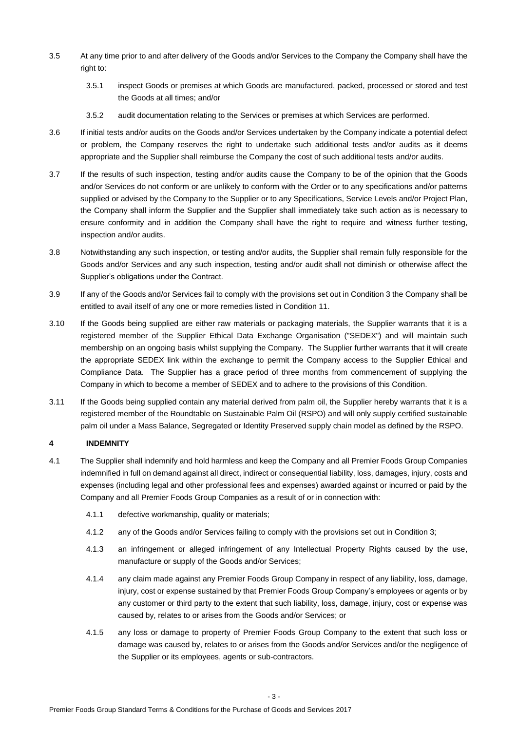- 3.5 At any time prior to and after delivery of the Goods and/or Services to the Company the Company shall have the right to:
	- 3.5.1 inspect Goods or premises at which Goods are manufactured, packed, processed or stored and test the Goods at all times; and/or
	- 3.5.2 audit documentation relating to the Services or premises at which Services are performed.
- 3.6 If initial tests and/or audits on the Goods and/or Services undertaken by the Company indicate a potential defect or problem, the Company reserves the right to undertake such additional tests and/or audits as it deems appropriate and the Supplier shall reimburse the Company the cost of such additional tests and/or audits.
- 3.7 If the results of such inspection, testing and/or audits cause the Company to be of the opinion that the Goods and/or Services do not conform or are unlikely to conform with the Order or to any specifications and/or patterns supplied or advised by the Company to the Supplier or to any Specifications, Service Levels and/or Project Plan, the Company shall inform the Supplier and the Supplier shall immediately take such action as is necessary to ensure conformity and in addition the Company shall have the right to require and witness further testing, inspection and/or audits.
- 3.8 Notwithstanding any such inspection, or testing and/or audits, the Supplier shall remain fully responsible for the Goods and/or Services and any such inspection, testing and/or audit shall not diminish or otherwise affect the Supplier's obligations under the Contract.
- 3.9 If any of the Goods and/or Services fail to comply with the provisions set out in Condition 3 the Company shall be entitled to avail itself of any one or more remedies listed in Condition 11.
- 3.10 If the Goods being supplied are either raw materials or packaging materials, the Supplier warrants that it is a registered member of the Supplier Ethical Data Exchange Organisation ("SEDEX") and will maintain such membership on an ongoing basis whilst supplying the Company. The Supplier further warrants that it will create the appropriate SEDEX link within the exchange to permit the Company access to the Supplier Ethical and Compliance Data. The Supplier has a grace period of three months from commencement of supplying the Company in which to become a member of SEDEX and to adhere to the provisions of this Condition.
- 3.11 If the Goods being supplied contain any material derived from palm oil, the Supplier hereby warrants that it is a registered member of the Roundtable on Sustainable Palm Oil (RSPO) and will only supply certified sustainable palm oil under a Mass Balance, Segregated or Identity Preserved supply chain model as defined by the RSPO.

# **4 INDEMNITY**

- 4.1 The Supplier shall indemnify and hold harmless and keep the Company and all Premier Foods Group Companies indemnified in full on demand against all direct, indirect or consequential liability, loss, damages, injury, costs and expenses (including legal and other professional fees and expenses) awarded against or incurred or paid by the Company and all Premier Foods Group Companies as a result of or in connection with:
	- 4.1.1 defective workmanship, quality or materials;
	- 4.1.2 any of the Goods and/or Services failing to comply with the provisions set out in Condition 3;
	- 4.1.3 an infringement or alleged infringement of any Intellectual Property Rights caused by the use, manufacture or supply of the Goods and/or Services;
	- 4.1.4 any claim made against any Premier Foods Group Company in respect of any liability, loss, damage, injury, cost or expense sustained by that Premier Foods Group Company's employees or agents or by any customer or third party to the extent that such liability, loss, damage, injury, cost or expense was caused by, relates to or arises from the Goods and/or Services; or
	- 4.1.5 any loss or damage to property of Premier Foods Group Company to the extent that such loss or damage was caused by, relates to or arises from the Goods and/or Services and/or the negligence of the Supplier or its employees, agents or sub-contractors.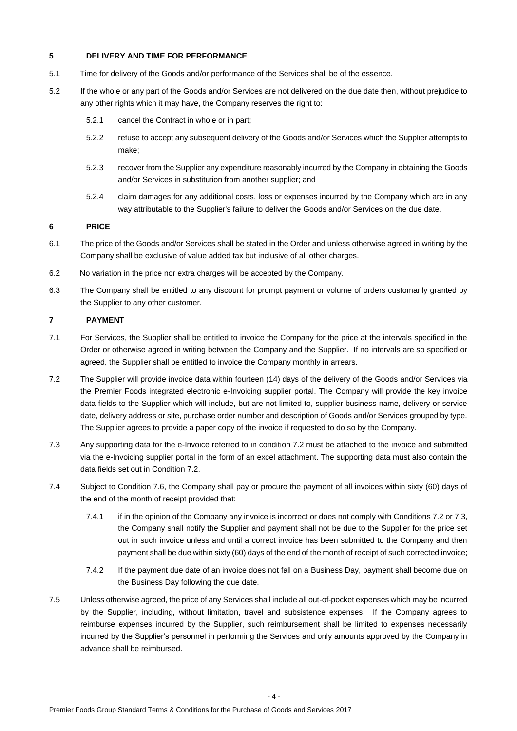# **5 DELIVERY AND TIME FOR PERFORMANCE**

- 5.1 Time for delivery of the Goods and/or performance of the Services shall be of the essence.
- 5.2 If the whole or any part of the Goods and/or Services are not delivered on the due date then, without prejudice to any other rights which it may have, the Company reserves the right to:
	- 5.2.1 cancel the Contract in whole or in part;
	- 5.2.2 refuse to accept any subsequent delivery of the Goods and/or Services which the Supplier attempts to make;
	- 5.2.3 recover from the Supplier any expenditure reasonably incurred by the Company in obtaining the Goods and/or Services in substitution from another supplier; and
	- 5.2.4 claim damages for any additional costs, loss or expenses incurred by the Company which are in any way attributable to the Supplier's failure to deliver the Goods and/or Services on the due date.

### **6 PRICE**

- 6.1 The price of the Goods and/or Services shall be stated in the Order and unless otherwise agreed in writing by the Company shall be exclusive of value added tax but inclusive of all other charges.
- 6.2 No variation in the price nor extra charges will be accepted by the Company.
- 6.3 The Company shall be entitled to any discount for prompt payment or volume of orders customarily granted by the Supplier to any other customer.

# **7 PAYMENT**

- 7.1 For Services, the Supplier shall be entitled to invoice the Company for the price at the intervals specified in the Order or otherwise agreed in writing between the Company and the Supplier. If no intervals are so specified or agreed, the Supplier shall be entitled to invoice the Company monthly in arrears.
- 7.2 The Supplier will provide invoice data within fourteen (14) days of the delivery of the Goods and/or Services via the Premier Foods integrated electronic e-Invoicing supplier portal. The Company will provide the key invoice data fields to the Supplier which will include, but are not limited to, supplier business name, delivery or service date, delivery address or site, purchase order number and description of Goods and/or Services grouped by type. The Supplier agrees to provide a paper copy of the invoice if requested to do so by the Company.
- 7.3 Any supporting data for the e-Invoice referred to in condition 7.2 must be attached to the invoice and submitted via the e-Invoicing supplier portal in the form of an excel attachment. The supporting data must also contain the data fields set out in Condition 7.2.
- 7.4 Subject to Condition 7.6, the Company shall pay or procure the payment of all invoices within sixty (60) days of the end of the month of receipt provided that:
	- 7.4.1 if in the opinion of the Company any invoice is incorrect or does not comply with Conditions 7.2 or 7.3, the Company shall notify the Supplier and payment shall not be due to the Supplier for the price set out in such invoice unless and until a correct invoice has been submitted to the Company and then payment shall be due within sixty (60) days of the end of the month of receipt of such corrected invoice;
	- 7.4.2 If the payment due date of an invoice does not fall on a Business Day, payment shall become due on the Business Day following the due date.
- 7.5 Unless otherwise agreed, the price of any Services shall include all out-of-pocket expenses which may be incurred by the Supplier, including, without limitation, travel and subsistence expenses. If the Company agrees to reimburse expenses incurred by the Supplier, such reimbursement shall be limited to expenses necessarily incurred by the Supplier's personnel in performing the Services and only amounts approved by the Company in advance shall be reimbursed.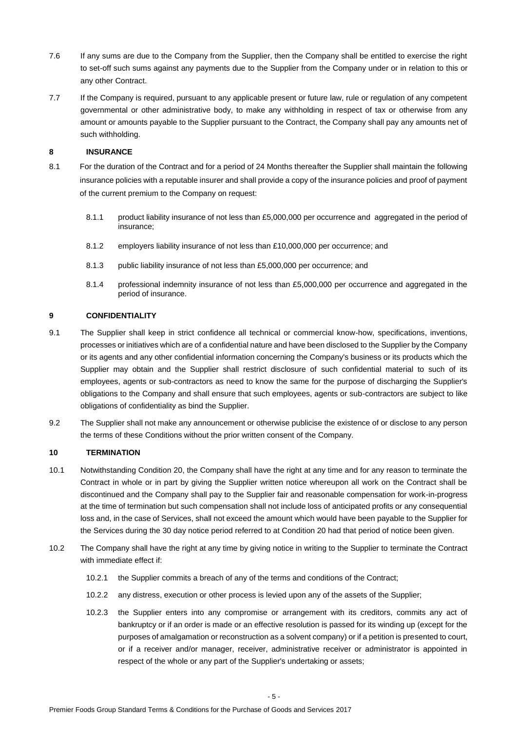- 7.6 If any sums are due to the Company from the Supplier, then the Company shall be entitled to exercise the right to set-off such sums against any payments due to the Supplier from the Company under or in relation to this or any other Contract.
- 7.7 If the Company is required, pursuant to any applicable present or future law, rule or regulation of any competent governmental or other administrative body, to make any withholding in respect of tax or otherwise from any amount or amounts payable to the Supplier pursuant to the Contract, the Company shall pay any amounts net of such withholding.

# **8 INSURANCE**

- 8.1 For the duration of the Contract and for a period of 24 Months thereafter the Supplier shall maintain the following insurance policies with a reputable insurer and shall provide a copy of the insurance policies and proof of payment of the current premium to the Company on request:
	- 8.1.1 product liability insurance of not less than £5,000,000 per occurrence and aggregated in the period of insurance;
	- 8.1.2 employers liability insurance of not less than £10,000,000 per occurrence; and
	- 8.1.3 public liability insurance of not less than £5,000,000 per occurrence; and
	- 8.1.4 professional indemnity insurance of not less than £5,000,000 per occurrence and aggregated in the period of insurance.

### **9 CONFIDENTIALITY**

- 9.1 The Supplier shall keep in strict confidence all technical or commercial know-how, specifications, inventions, processes or initiatives which are of a confidential nature and have been disclosed to the Supplier by the Company or its agents and any other confidential information concerning the Company's business or its products which the Supplier may obtain and the Supplier shall restrict disclosure of such confidential material to such of its employees, agents or sub-contractors as need to know the same for the purpose of discharging the Supplier's obligations to the Company and shall ensure that such employees, agents or sub-contractors are subject to like obligations of confidentiality as bind the Supplier.
- 9.2 The Supplier shall not make any announcement or otherwise publicise the existence of or disclose to any person the terms of these Conditions without the prior written consent of the Company.

# **10 TERMINATION**

- 10.1 Notwithstanding Condition 20, the Company shall have the right at any time and for any reason to terminate the Contract in whole or in part by giving the Supplier written notice whereupon all work on the Contract shall be discontinued and the Company shall pay to the Supplier fair and reasonable compensation for work-in-progress at the time of termination but such compensation shall not include loss of anticipated profits or any consequential loss and, in the case of Services, shall not exceed the amount which would have been payable to the Supplier for the Services during the 30 day notice period referred to at Condition 20 had that period of notice been given.
- 10.2 The Company shall have the right at any time by giving notice in writing to the Supplier to terminate the Contract with immediate effect if:
	- 10.2.1 the Supplier commits a breach of any of the terms and conditions of the Contract;
	- 10.2.2 any distress, execution or other process is levied upon any of the assets of the Supplier;
	- 10.2.3 the Supplier enters into any compromise or arrangement with its creditors, commits any act of bankruptcy or if an order is made or an effective resolution is passed for its winding up (except for the purposes of amalgamation or reconstruction as a solvent company) or if a petition is presented to court, or if a receiver and/or manager, receiver, administrative receiver or administrator is appointed in respect of the whole or any part of the Supplier's undertaking or assets;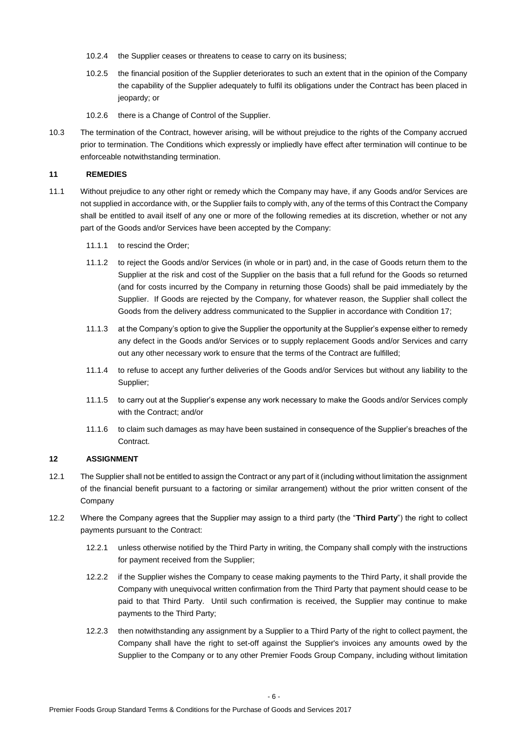- 10.2.4 the Supplier ceases or threatens to cease to carry on its business;
- 10.2.5 the financial position of the Supplier deteriorates to such an extent that in the opinion of the Company the capability of the Supplier adequately to fulfil its obligations under the Contract has been placed in jeopardy; or
- 10.2.6 there is a Change of Control of the Supplier.
- 10.3 The termination of the Contract, however arising, will be without prejudice to the rights of the Company accrued prior to termination. The Conditions which expressly or impliedly have effect after termination will continue to be enforceable notwithstanding termination.

### **11 REMEDIES**

- 11.1 Without prejudice to any other right or remedy which the Company may have, if any Goods and/or Services are not supplied in accordance with, or the Supplier fails to comply with, any of the terms of this Contract the Company shall be entitled to avail itself of any one or more of the following remedies at its discretion, whether or not any part of the Goods and/or Services have been accepted by the Company:
	- 11.1.1 to rescind the Order;
	- 11.1.2 to reject the Goods and/or Services (in whole or in part) and, in the case of Goods return them to the Supplier at the risk and cost of the Supplier on the basis that a full refund for the Goods so returned (and for costs incurred by the Company in returning those Goods) shall be paid immediately by the Supplier. If Goods are rejected by the Company, for whatever reason, the Supplier shall collect the Goods from the delivery address communicated to the Supplier in accordance with Condition 17;
	- 11.1.3 at the Company's option to give the Supplier the opportunity at the Supplier's expense either to remedy any defect in the Goods and/or Services or to supply replacement Goods and/or Services and carry out any other necessary work to ensure that the terms of the Contract are fulfilled;
	- 11.1.4 to refuse to accept any further deliveries of the Goods and/or Services but without any liability to the Supplier;
	- 11.1.5 to carry out at the Supplier's expense any work necessary to make the Goods and/or Services comply with the Contract; and/or
	- 11.1.6 to claim such damages as may have been sustained in consequence of the Supplier's breaches of the Contract.

# **12 ASSIGNMENT**

- 12.1 The Supplier shall not be entitled to assign the Contract or any part of it (including without limitation the assignment of the financial benefit pursuant to a factoring or similar arrangement) without the prior written consent of the Company
- 12.2 Where the Company agrees that the Supplier may assign to a third party (the "**Third Party**") the right to collect payments pursuant to the Contract:
	- 12.2.1 unless otherwise notified by the Third Party in writing, the Company shall comply with the instructions for payment received from the Supplier;
	- 12.2.2 if the Supplier wishes the Company to cease making payments to the Third Party, it shall provide the Company with unequivocal written confirmation from the Third Party that payment should cease to be paid to that Third Party. Until such confirmation is received, the Supplier may continue to make payments to the Third Party;
	- 12.2.3 then notwithstanding any assignment by a Supplier to a Third Party of the right to collect payment, the Company shall have the right to set-off against the Supplier's invoices any amounts owed by the Supplier to the Company or to any other Premier Foods Group Company, including without limitation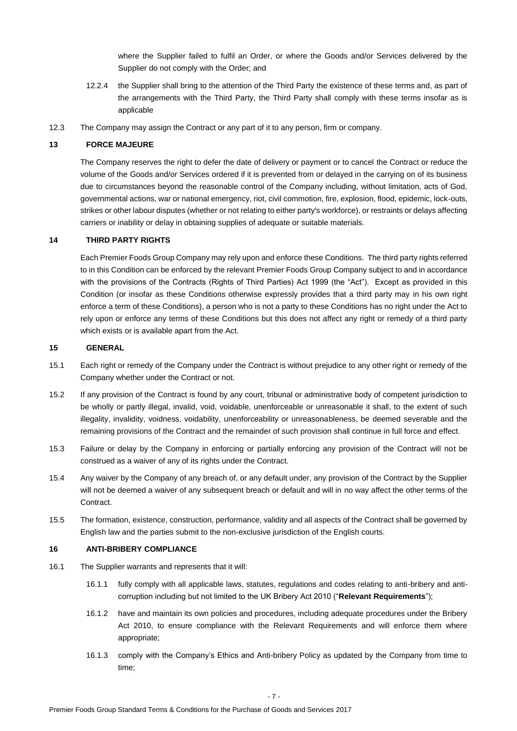where the Supplier failed to fulfil an Order, or where the Goods and/or Services delivered by the Supplier do not comply with the Order; and

- 12.2.4 the Supplier shall bring to the attention of the Third Party the existence of these terms and, as part of the arrangements with the Third Party, the Third Party shall comply with these terms insofar as is applicable
- 12.3 The Company may assign the Contract or any part of it to any person, firm or company.

#### **13 FORCE MAJEURE**

The Company reserves the right to defer the date of delivery or payment or to cancel the Contract or reduce the volume of the Goods and/or Services ordered if it is prevented from or delayed in the carrying on of its business due to circumstances beyond the reasonable control of the Company including, without limitation, acts of God, governmental actions, war or national emergency, riot, civil commotion, fire, explosion, flood, epidemic, lock-outs, strikes or other labour disputes (whether or not relating to either party's workforce), or restraints or delays affecting carriers or inability or delay in obtaining supplies of adequate or suitable materials.

#### **14 THIRD PARTY RIGHTS**

Each Premier Foods Group Company may rely upon and enforce these Conditions. The third party rights referred to in this Condition can be enforced by the relevant Premier Foods Group Company subject to and in accordance with the provisions of the Contracts (Rights of Third Parties) Act 1999 (the "Act"). Except as provided in this Condition (or insofar as these Conditions otherwise expressly provides that a third party may in his own right enforce a term of these Conditions), a person who is not a party to these Conditions has no right under the Act to rely upon or enforce any terms of these Conditions but this does not affect any right or remedy of a third party which exists or is available apart from the Act.

### **15 GENERAL**

- 15.1 Each right or remedy of the Company under the Contract is without prejudice to any other right or remedy of the Company whether under the Contract or not.
- 15.2 If any provision of the Contract is found by any court, tribunal or administrative body of competent jurisdiction to be wholly or partly illegal, invalid, void, voidable, unenforceable or unreasonable it shall, to the extent of such illegality, invalidity, voidness, voidability, unenforceability or unreasonableness, be deemed severable and the remaining provisions of the Contract and the remainder of such provision shall continue in full force and effect.
- 15.3 Failure or delay by the Company in enforcing or partially enforcing any provision of the Contract will not be construed as a waiver of any of its rights under the Contract.
- 15.4 Any waiver by the Company of any breach of, or any default under, any provision of the Contract by the Supplier will not be deemed a waiver of any subsequent breach or default and will in no way affect the other terms of the Contract.
- 15.5 The formation, existence, construction, performance, validity and all aspects of the Contract shall be governed by English law and the parties submit to the non-exclusive jurisdiction of the English courts.

#### **16 ANTI-BRIBERY COMPLIANCE**

- 16.1 The Supplier warrants and represents that it will:
	- 16.1.1 fully comply with all applicable laws, statutes, regulations and codes relating to anti-bribery and anticorruption including but not limited to the UK Bribery Act 2010 ("**Relevant Requirements**");
	- 16.1.2 have and maintain its own policies and procedures, including adequate procedures under the Bribery Act 2010, to ensure compliance with the Relevant Requirements and will enforce them where appropriate;
	- 16.1.3 comply with the Company's Ethics and Anti-bribery Policy as updated by the Company from time to time;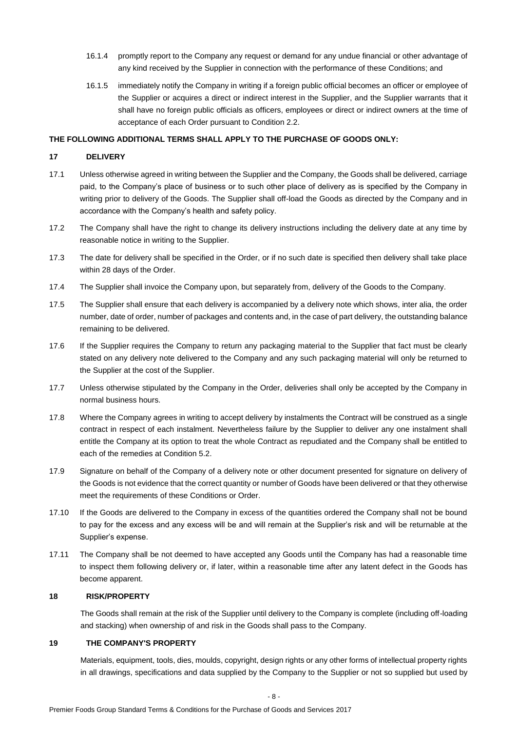- 16.1.4 promptly report to the Company any request or demand for any undue financial or other advantage of any kind received by the Supplier in connection with the performance of these Conditions; and
- 16.1.5 immediately notify the Company in writing if a foreign public official becomes an officer or employee of the Supplier or acquires a direct or indirect interest in the Supplier, and the Supplier warrants that it shall have no foreign public officials as officers, employees or direct or indirect owners at the time of acceptance of each Order pursuant to Condition 2.2.

### **THE FOLLOWING ADDITIONAL TERMS SHALL APPLY TO THE PURCHASE OF GOODS ONLY:**

### **17 DELIVERY**

- 17.1 Unless otherwise agreed in writing between the Supplier and the Company, the Goods shall be delivered, carriage paid, to the Company's place of business or to such other place of delivery as is specified by the Company in writing prior to delivery of the Goods. The Supplier shall off-load the Goods as directed by the Company and in accordance with the Company's health and safety policy.
- 17.2 The Company shall have the right to change its delivery instructions including the delivery date at any time by reasonable notice in writing to the Supplier.
- 17.3 The date for delivery shall be specified in the Order, or if no such date is specified then delivery shall take place within 28 days of the Order.
- 17.4 The Supplier shall invoice the Company upon, but separately from, delivery of the Goods to the Company.
- 17.5 The Supplier shall ensure that each delivery is accompanied by a delivery note which shows, inter alia, the order number, date of order, number of packages and contents and, in the case of part delivery, the outstanding balance remaining to be delivered.
- 17.6 If the Supplier requires the Company to return any packaging material to the Supplier that fact must be clearly stated on any delivery note delivered to the Company and any such packaging material will only be returned to the Supplier at the cost of the Supplier.
- 17.7 Unless otherwise stipulated by the Company in the Order, deliveries shall only be accepted by the Company in normal business hours.
- 17.8 Where the Company agrees in writing to accept delivery by instalments the Contract will be construed as a single contract in respect of each instalment. Nevertheless failure by the Supplier to deliver any one instalment shall entitle the Company at its option to treat the whole Contract as repudiated and the Company shall be entitled to each of the remedies at Condition 5.2.
- 17.9 Signature on behalf of the Company of a delivery note or other document presented for signature on delivery of the Goods is not evidence that the correct quantity or number of Goods have been delivered or that they otherwise meet the requirements of these Conditions or Order.
- 17.10 If the Goods are delivered to the Company in excess of the quantities ordered the Company shall not be bound to pay for the excess and any excess will be and will remain at the Supplier's risk and will be returnable at the Supplier's expense.
- 17.11 The Company shall be not deemed to have accepted any Goods until the Company has had a reasonable time to inspect them following delivery or, if later, within a reasonable time after any latent defect in the Goods has become apparent.

### **18 RISK/PROPERTY**

The Goods shall remain at the risk of the Supplier until delivery to the Company is complete (including off-loading and stacking) when ownership of and risk in the Goods shall pass to the Company.

# **19 THE COMPANY'S PROPERTY**

Materials, equipment, tools, dies, moulds, copyright, design rights or any other forms of intellectual property rights in all drawings, specifications and data supplied by the Company to the Supplier or not so supplied but used by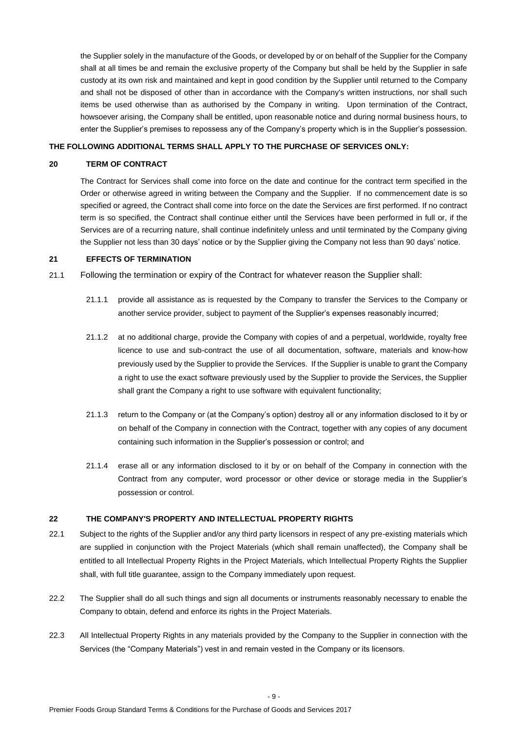the Supplier solely in the manufacture of the Goods, or developed by or on behalf of the Supplier for the Company shall at all times be and remain the exclusive property of the Company but shall be held by the Supplier in safe custody at its own risk and maintained and kept in good condition by the Supplier until returned to the Company and shall not be disposed of other than in accordance with the Company's written instructions, nor shall such items be used otherwise than as authorised by the Company in writing. Upon termination of the Contract, howsoever arising, the Company shall be entitled, upon reasonable notice and during normal business hours, to enter the Supplier's premises to repossess any of the Company's property which is in the Supplier's possession.

### **THE FOLLOWING ADDITIONAL TERMS SHALL APPLY TO THE PURCHASE OF SERVICES ONLY:**

#### **20 TERM OF CONTRACT**

The Contract for Services shall come into force on the date and continue for the contract term specified in the Order or otherwise agreed in writing between the Company and the Supplier. If no commencement date is so specified or agreed, the Contract shall come into force on the date the Services are first performed. If no contract term is so specified, the Contract shall continue either until the Services have been performed in full or, if the Services are of a recurring nature, shall continue indefinitely unless and until terminated by the Company giving the Supplier not less than 30 days' notice or by the Supplier giving the Company not less than 90 days' notice.

### **21 EFFECTS OF TERMINATION**

21.1 Following the termination or expiry of the Contract for whatever reason the Supplier shall:

- 21.1.1 provide all assistance as is requested by the Company to transfer the Services to the Company or another service provider, subject to payment of the Supplier's expenses reasonably incurred;
- 21.1.2 at no additional charge, provide the Company with copies of and a perpetual, worldwide, royalty free licence to use and sub-contract the use of all documentation, software, materials and know-how previously used by the Supplier to provide the Services. If the Supplier is unable to grant the Company a right to use the exact software previously used by the Supplier to provide the Services, the Supplier shall grant the Company a right to use software with equivalent functionality;
- 21.1.3 return to the Company or (at the Company's option) destroy all or any information disclosed to it by or on behalf of the Company in connection with the Contract, together with any copies of any document containing such information in the Supplier's possession or control; and
- 21.1.4 erase all or any information disclosed to it by or on behalf of the Company in connection with the Contract from any computer, word processor or other device or storage media in the Supplier's possession or control.

#### **22 THE COMPANY'S PROPERTY AND INTELLECTUAL PROPERTY RIGHTS**

- 22.1 Subject to the rights of the Supplier and/or any third party licensors in respect of any pre-existing materials which are supplied in conjunction with the Project Materials (which shall remain unaffected), the Company shall be entitled to all Intellectual Property Rights in the Project Materials, which Intellectual Property Rights the Supplier shall, with full title guarantee, assign to the Company immediately upon request.
- 22.2 The Supplier shall do all such things and sign all documents or instruments reasonably necessary to enable the Company to obtain, defend and enforce its rights in the Project Materials.
- 22.3 All Intellectual Property Rights in any materials provided by the Company to the Supplier in connection with the Services (the "Company Materials") vest in and remain vested in the Company or its licensors.